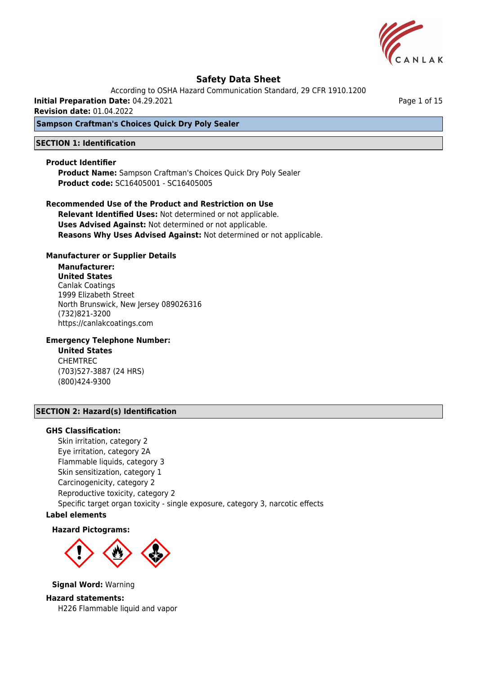

According to OSHA Hazard Communication Standard, 29 CFR 1910.1200

**Initial Preparation Date:** 04.29.2021

**Revision date:** 01.04.2022

### **Sampson Craftman's Choices Quick Dry Poly Sealer**

#### **SECTION 1: Identification**

#### **Product Identifier**

**Product Name:** Sampson Craftman's Choices Quick Dry Poly Sealer **Product code:** SC16405001 - SC16405005

**Recommended Use of the Product and Restriction on Use Relevant Identified Uses:** Not determined or not applicable. **Uses Advised Against:** Not determined or not applicable. **Reasons Why Uses Advised Against:** Not determined or not applicable.

#### **Manufacturer or Supplier Details**

**Manufacturer: United States** Canlak Coatings 1999 Elizabeth Street North Brunswick, New Jersey 089026316 (732)821-3200 https://canlakcoatings.com

## **Emergency Telephone Number:**

**United States** CHEMTREC (703)527-3887 (24 HRS) (800)424-9300

## **SECTION 2: Hazard(s) Identification**

#### **GHS Classification:**

Skin irritation, category 2 Eye irritation, category 2A Flammable liquids, category 3 Skin sensitization, category 1 Carcinogenicity, category 2 Reproductive toxicity, category 2 Specific target organ toxicity - single exposure, category 3, narcotic effects

## **Label elements**

#### **Hazard Pictograms:**



**Signal Word:** Warning

**Hazard statements:** H226 Flammable liquid and vapor Page 1 of 15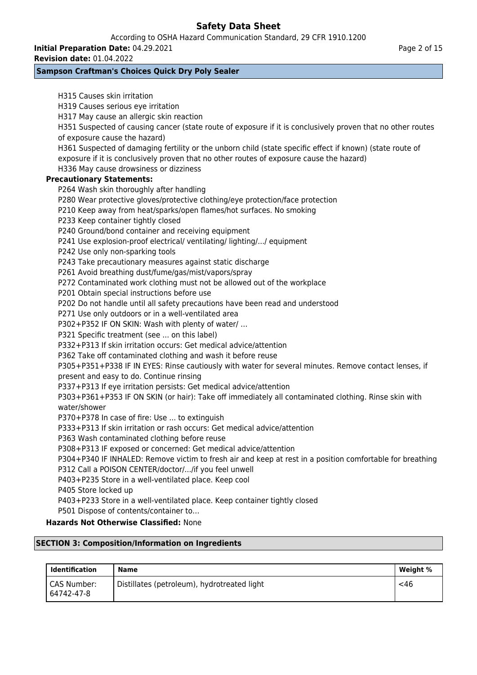According to OSHA Hazard Communication Standard, 29 CFR 1910.1200

**Initial Preparation Date:** 04.29.2021 **Revision date:** 01.04.2022

## **Sampson Craftman's Choices Quick Dry Poly Sealer**

| <b>SECTION 3: Composition/Information on Ingredients</b>                                                    |
|-------------------------------------------------------------------------------------------------------------|
| <b>Hazards Not Otherwise Classified: None</b>                                                               |
| P501 Dispose of contents/container to                                                                       |
| P403+P233 Store in a well-ventilated place. Keep container tightly closed                                   |
| P405 Store locked up                                                                                        |
| P403+P235 Store in a well-ventilated place. Keep cool                                                       |
| P312 Call a POISON CENTER/doctor//if you feel unwell                                                        |
| P304+P340 IF INHALED: Remove victim to fresh air and keep at rest in a position comfortable for breathing   |
| P308+P313 IF exposed or concerned: Get medical advice/attention                                             |
| P363 Wash contaminated clothing before reuse                                                                |
| P333+P313 If skin irritation or rash occurs: Get medical advice/attention                                   |
| P370+P378 In case of fire: Use  to extinguish                                                               |
| water/shower                                                                                                |
| P303+P361+P353 IF ON SKIN (or hair): Take off immediately all contaminated clothing. Rinse skin with        |
| P337+P313 If eye irritation persists: Get medical advice/attention                                          |
| present and easy to do. Continue rinsing                                                                    |
| P305+P351+P338 IF IN EYES: Rinse cautiously with water for several minutes. Remove contact lenses, if       |
| P362 Take off contaminated clothing and wash it before reuse                                                |
| P332+P313 If skin irritation occurs: Get medical advice/attention                                           |
| P321 Specific treatment (see  on this label)                                                                |
| P302+P352 IF ON SKIN: Wash with plenty of water/                                                            |
| P271 Use only outdoors or in a well-ventilated area                                                         |
| P202 Do not handle until all safety precautions have been read and understood                               |
| P201 Obtain special instructions before use                                                                 |
| P272 Contaminated work clothing must not be allowed out of the workplace                                    |
| P261 Avoid breathing dust/fume/gas/mist/vapors/spray                                                        |
| P243 Take precautionary measures against static discharge                                                   |
| P242 Use only non-sparking tools                                                                            |
| P241 Use explosion-proof electrical/ ventilating/ lighting// equipment                                      |
| P240 Ground/bond container and receiving equipment                                                          |
| P233 Keep container tightly closed                                                                          |
| P210 Keep away from heat/sparks/open flames/hot surfaces. No smoking                                        |
| P280 Wear protective gloves/protective clothing/eye protection/face protection                              |
| P264 Wash skin thoroughly after handling                                                                    |
| <b>Precautionary Statements:</b>                                                                            |
| H336 May cause drowsiness or dizziness                                                                      |
| exposure if it is conclusively proven that no other routes of exposure cause the hazard)                    |
| H361 Suspected of damaging fertility or the unborn child (state specific effect if known) (state route of   |
| of exposure cause the hazard)                                                                               |
| H351 Suspected of causing cancer (state route of exposure if it is conclusively proven that no other routes |
| H317 May cause an allergic skin reaction                                                                    |
| H319 Causes serious eye irritation                                                                          |

| Identification            | <b>Name</b>                                 | Weight % |
|---------------------------|---------------------------------------------|----------|
| CAS Number:<br>64742-47-8 | Distillates (petroleum), hydrotreated light | $<$ 46   |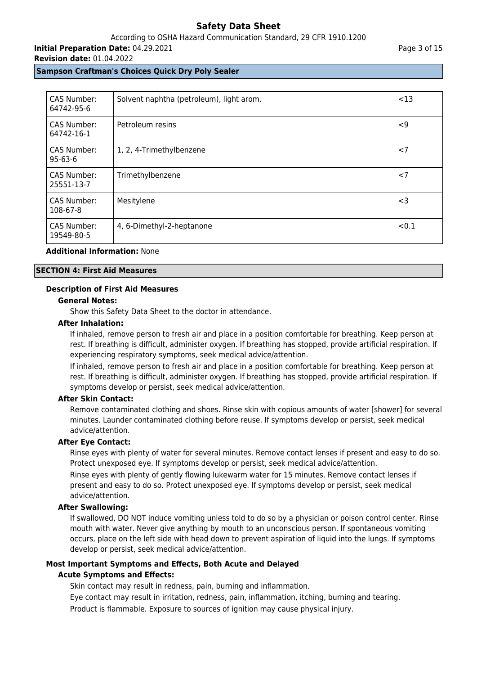## According to OSHA Hazard Communication Standard, 29 CFR 1910.1200

**Initial Preparation Date:** 04.29.2021

#### **Revision date:** 01.04.2022

#### **Sampson Craftman's Choices Quick Dry Poly Sealer**

| <b>CAS Number:</b><br>64742-95-6 | Solvent naphtha (petroleum), light arom. | $<$ 13   |
|----------------------------------|------------------------------------------|----------|
| <b>CAS Number:</b><br>64742-16-1 | Petroleum resins                         | $\leq$ 9 |
| CAS Number:<br>$95 - 63 - 6$     | 1, 2, 4-Trimethylbenzene                 | < 7      |
| CAS Number:<br>25551-13-7        | Trimethylbenzene                         | < 7      |
| <b>CAS Number:</b><br>108-67-8   | Mesitylene                               | $<$ 3    |
| CAS Number:<br>19549-80-5        | 4, 6-Dimethyl-2-heptanone                | < 0.1    |

## **Additional Information:** None

#### **SECTION 4: First Aid Measures**

#### **Description of First Aid Measures**

#### **General Notes:**

Show this Safety Data Sheet to the doctor in attendance.

#### **After Inhalation:**

If inhaled, remove person to fresh air and place in a position comfortable for breathing. Keep person at rest. If breathing is difficult, administer oxygen. If breathing has stopped, provide artificial respiration. If experiencing respiratory symptoms, seek medical advice/attention.

If inhaled, remove person to fresh air and place in a position comfortable for breathing. Keep person at rest. If breathing is difficult, administer oxygen. If breathing has stopped, provide artificial respiration. If symptoms develop or persist, seek medical advice/attention.

### **After Skin Contact:**

Remove contaminated clothing and shoes. Rinse skin with copious amounts of water [shower] for several minutes. Launder contaminated clothing before reuse. If symptoms develop or persist, seek medical advice/attention.

## **After Eye Contact:**

Rinse eyes with plenty of water for several minutes. Remove contact lenses if present and easy to do so. Protect unexposed eye. If symptoms develop or persist, seek medical advice/attention.

Rinse eyes with plenty of gently flowing lukewarm water for 15 minutes. Remove contact lenses if present and easy to do so. Protect unexposed eye. If symptoms develop or persist, seek medical advice/attention.

#### **After Swallowing:**

If swallowed, DO NOT induce vomiting unless told to do so by a physician or poison control center. Rinse mouth with water. Never give anything by mouth to an unconscious person. If spontaneous vomiting occurs, place on the left side with head down to prevent aspiration of liquid into the lungs. If symptoms develop or persist, seek medical advice/attention.

## **Most Important Symptoms and Effects, Both Acute and Delayed**

#### **Acute Symptoms and Effects:**

Skin contact may result in redness, pain, burning and inflammation.

Eye contact may result in irritation, redness, pain, inflammation, itching, burning and tearing. Product is flammable. Exposure to sources of ignition may cause physical injury.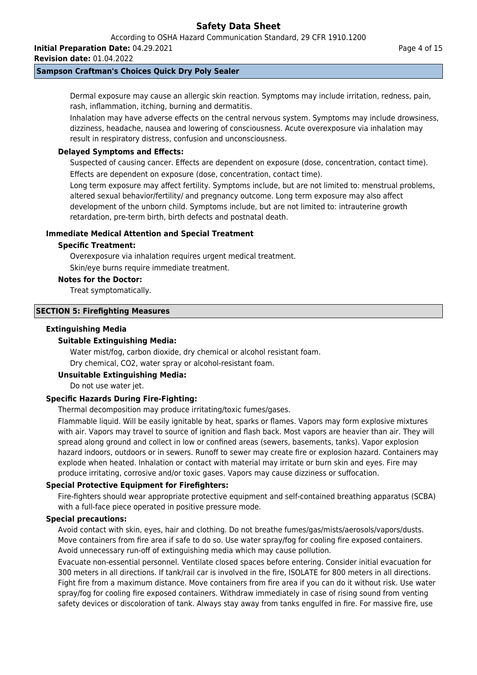**Initial Preparation Date:** 04.29.2021

**Revision date:** 01.04.2022

## **Sampson Craftman's Choices Quick Dry Poly Sealer**

Dermal exposure may cause an allergic skin reaction. Symptoms may include irritation, redness, pain, rash, inflammation, itching, burning and dermatitis.

Inhalation may have adverse effects on the central nervous system. Symptoms may include drowsiness, dizziness, headache, nausea and lowering of consciousness. Acute overexposure via inhalation may result in respiratory distress, confusion and unconsciousness.

## **Delayed Symptoms and Effects:**

Suspected of causing cancer. Effects are dependent on exposure (dose, concentration, contact time). Effects are dependent on exposure (dose, concentration, contact time).

Long term exposure may affect fertility. Symptoms include, but are not limited to: menstrual problems, altered sexual behavior/fertility/ and pregnancy outcome. Long term exposure may also affect development of the unborn child. Symptoms include, but are not limited to: intrauterine growth

retardation, pre-term birth, birth defects and postnatal death.

## **Immediate Medical Attention and Special Treatment**

## **Specific Treatment:**

Overexposure via inhalation requires urgent medical treatment. Skin/eye burns require immediate treatment.

**Notes for the Doctor:**

Treat symptomatically.

## **SECTION 5: Firefighting Measures**

#### **Extinguishing Media**

## **Suitable Extinguishing Media:**

Water mist/fog, carbon dioxide, dry chemical or alcohol resistant foam. Dry chemical, CO2, water spray or alcohol-resistant foam.

## **Unsuitable Extinguishing Media:**

Do not use water jet.

## **Specific Hazards During Fire-Fighting:**

Thermal decomposition may produce irritating/toxic fumes/gases.

Flammable liquid. Will be easily ignitable by heat, sparks or flames. Vapors may form explosive mixtures with air. Vapors may travel to source of ignition and flash back. Most vapors are heavier than air. They will spread along ground and collect in low or confined areas (sewers, basements, tanks). Vapor explosion hazard indoors, outdoors or in sewers. Runoff to sewer may create fire or explosion hazard. Containers may explode when heated. Inhalation or contact with material may irritate or burn skin and eyes. Fire may produce irritating, corrosive and/or toxic gases. Vapors may cause dizziness or suffocation.

## **Special Protective Equipment for Firefighters:**

Fire-fighters should wear appropriate protective equipment and self-contained breathing apparatus (SCBA) with a full-face piece operated in positive pressure mode.

## **Special precautions:**

Avoid contact with skin, eyes, hair and clothing. Do not breathe fumes/gas/mists/aerosols/vapors/dusts. Move containers from fire area if safe to do so. Use water spray/fog for cooling fire exposed containers. Avoid unnecessary run-off of extinguishing media which may cause pollution.

Evacuate non-essential personnel. Ventilate closed spaces before entering. Consider initial evacuation for 300 meters in all directions. If tank/rail car is involved in the fire, ISOLATE for 800 meters in all directions. Fight fire from a maximum distance. Move containers from fire area if you can do it without risk. Use water spray/fog for cooling fire exposed containers. Withdraw immediately in case of rising sound from venting safety devices or discoloration of tank. Always stay away from tanks engulfed in fire. For massive fire, use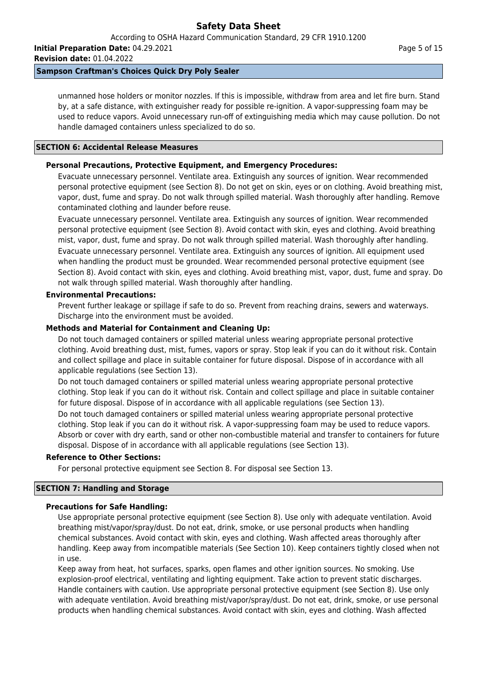**Initial Preparation Date:** 04.29.2021 **Revision date:** 01.04.2022

## **Sampson Craftman's Choices Quick Dry Poly Sealer**

unmanned hose holders or monitor nozzles. If this is impossible, withdraw from area and let fire burn. Stand by, at a safe distance, with extinguisher ready for possible re-ignition. A vapor-suppressing foam may be used to reduce vapors. Avoid unnecessary run-off of extinguishing media which may cause pollution. Do not handle damaged containers unless specialized to do so.

## **SECTION 6: Accidental Release Measures**

## **Personal Precautions, Protective Equipment, and Emergency Procedures:**

Evacuate unnecessary personnel. Ventilate area. Extinguish any sources of ignition. Wear recommended personal protective equipment (see Section 8). Do not get on skin, eyes or on clothing. Avoid breathing mist, vapor, dust, fume and spray. Do not walk through spilled material. Wash thoroughly after handling. Remove contaminated clothing and launder before reuse.

Evacuate unnecessary personnel. Ventilate area. Extinguish any sources of ignition. Wear recommended personal protective equipment (see Section 8). Avoid contact with skin, eyes and clothing. Avoid breathing mist, vapor, dust, fume and spray. Do not walk through spilled material. Wash thoroughly after handling. Evacuate unnecessary personnel. Ventilate area. Extinguish any sources of ignition. All equipment used when handling the product must be grounded. Wear recommended personal protective equipment (see Section 8). Avoid contact with skin, eyes and clothing. Avoid breathing mist, vapor, dust, fume and spray. Do not walk through spilled material. Wash thoroughly after handling.

## **Environmental Precautions:**

Prevent further leakage or spillage if safe to do so. Prevent from reaching drains, sewers and waterways. Discharge into the environment must be avoided.

## **Methods and Material for Containment and Cleaning Up:**

Do not touch damaged containers or spilled material unless wearing appropriate personal protective clothing. Avoid breathing dust, mist, fumes, vapors or spray. Stop leak if you can do it without risk. Contain and collect spillage and place in suitable container for future disposal. Dispose of in accordance with all applicable regulations (see Section 13).

Do not touch damaged containers or spilled material unless wearing appropriate personal protective clothing. Stop leak if you can do it without risk. Contain and collect spillage and place in suitable container for future disposal. Dispose of in accordance with all applicable regulations (see Section 13).

Do not touch damaged containers or spilled material unless wearing appropriate personal protective clothing. Stop leak if you can do it without risk. A vapor-suppressing foam may be used to reduce vapors. Absorb or cover with dry earth, sand or other non-combustible material and transfer to containers for future disposal. Dispose of in accordance with all applicable regulations (see Section 13).

## **Reference to Other Sections:**

For personal protective equipment see Section 8. For disposal see Section 13.

## **SECTION 7: Handling and Storage**

## **Precautions for Safe Handling:**

Use appropriate personal protective equipment (see Section 8). Use only with adequate ventilation. Avoid breathing mist/vapor/spray/dust. Do not eat, drink, smoke, or use personal products when handling chemical substances. Avoid contact with skin, eyes and clothing. Wash affected areas thoroughly after handling. Keep away from incompatible materials (See Section 10). Keep containers tightly closed when not in use.

Keep away from heat, hot surfaces, sparks, open flames and other ignition sources. No smoking. Use explosion-proof electrical, ventilating and lighting equipment. Take action to prevent static discharges. Handle containers with caution. Use appropriate personal protective equipment (see Section 8). Use only with adequate ventilation. Avoid breathing mist/vapor/spray/dust. Do not eat, drink, smoke, or use personal products when handling chemical substances. Avoid contact with skin, eyes and clothing. Wash affected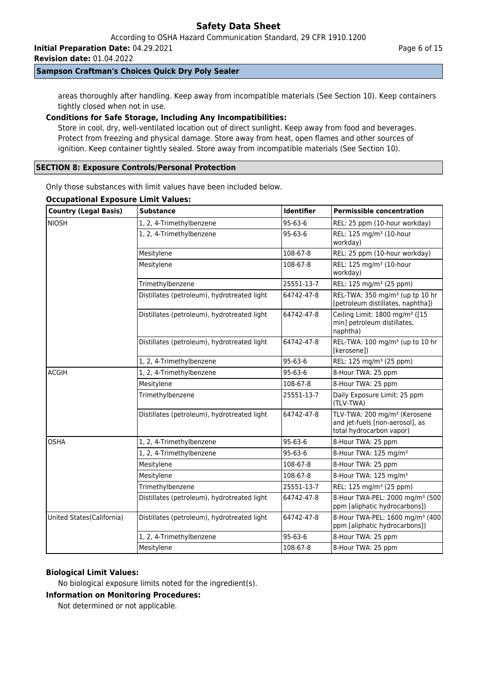**Initial Preparation Date:** 04.29.2021

**Revision date:** 01.04.2022

## **Sampson Craftman's Choices Quick Dry Poly Sealer**

areas thoroughly after handling. Keep away from incompatible materials (See Section 10). Keep containers tightly closed when not in use.

## **Conditions for Safe Storage, Including Any Incompatibilities:**

Store in cool, dry, well-ventilated location out of direct sunlight. Keep away from food and beverages. Protect from freezing and physical damage. Store away from heat, open flames and other sources of ignition. Keep container tightly sealed. Store away from incompatible materials (See Section 10).

## **SECTION 8: Exposure Controls/Personal Protection**

Only those substances with limit values have been included below.

#### **Occupational Exposure Limit Values:**

| <b>Country (Legal Basis)</b> | <b>Substance</b>                            | <b>Identifier</b> | <b>Permissible concentration</b>                                                                        |
|------------------------------|---------------------------------------------|-------------------|---------------------------------------------------------------------------------------------------------|
| <b>NIOSH</b>                 | 1, 2, 4-Trimethylbenzene                    | $95 - 63 - 6$     | REL: 25 ppm (10-hour workday)                                                                           |
|                              | 1, 2, 4-Trimethylbenzene                    | $95 - 63 - 6$     | REL: 125 mg/m <sup>3</sup> (10-hour<br>workday)                                                         |
|                              | Mesitylene                                  | 108-67-8          | REL: 25 ppm (10-hour workday)                                                                           |
|                              | Mesitylene                                  | 108-67-8          | REL: 125 mg/m <sup>3</sup> (10-hour<br>workday)                                                         |
|                              | Trimethylbenzene                            | 25551-13-7        | REL: 125 mg/m <sup>3</sup> (25 ppm)                                                                     |
|                              | Distillates (petroleum), hydrotreated light | 64742-47-8        | REL-TWA: 350 mg/m <sup>3</sup> (up tp 10 hr<br>[petroleum distillates, naphtha])                        |
|                              | Distillates (petroleum), hydrotreated light | 64742-47-8        | Ceiling Limit: 1800 mg/m <sup>3</sup> ([15<br>min] petroleum distillates,<br>naphtha)                   |
|                              | Distillates (petroleum), hydrotreated light | 64742-47-8        | REL-TWA: 100 mg/m <sup>3</sup> (up to 10 hr<br>[kerosene])                                              |
|                              | 1, 2, 4-Trimethylbenzene                    | $95 - 63 - 6$     | REL: 125 mg/m <sup>3</sup> (25 ppm)                                                                     |
| <b>ACGIH</b>                 | 1, 2, 4-Trimethylbenzene                    | $95 - 63 - 6$     | 8-Hour TWA: 25 ppm                                                                                      |
|                              | Mesitylene                                  | 108-67-8          | 8-Hour TWA: 25 ppm                                                                                      |
|                              | Trimethylbenzene                            | 25551-13-7        | Daily Exposure Limit: 25 ppm<br>(TLV-TWA)                                                               |
|                              | Distillates (petroleum), hydrotreated light | 64742-47-8        | TLV-TWA: 200 mg/m <sup>3</sup> (Kerosene<br>and jet-fuels [non-aerosol], as<br>total hydrocarbon vapor) |
| <b>OSHA</b>                  | 1, 2, 4-Trimethylbenzene                    | 95-63-6           | 8-Hour TWA: 25 ppm                                                                                      |
|                              | 1, 2, 4-Trimethylbenzene                    | 95-63-6           | 8-Hour TWA: 125 mg/m <sup>3</sup>                                                                       |
|                              | Mesitylene                                  | 108-67-8          | 8-Hour TWA: 25 ppm                                                                                      |
|                              | Mesitylene                                  | 108-67-8          | 8-Hour TWA: 125 mg/m <sup>3</sup>                                                                       |
|                              | Trimethylbenzene                            | 25551-13-7        | REL: 125 mg/m <sup>3</sup> (25 ppm)                                                                     |
|                              | Distillates (petroleum), hydrotreated light | 64742-47-8        | 8-Hour TWA-PEL: 2000 mg/m <sup>3</sup> (500)<br>ppm [aliphatic hydrocarbons])                           |
| United States(California)    | Distillates (petroleum), hydrotreated light | 64742-47-8        | 8-Hour TWA-PEL: 1600 mg/m <sup>3</sup> (400)<br>ppm [aliphatic hydrocarbons])                           |
|                              | 1, 2, 4-Trimethylbenzene                    | 95-63-6           | 8-Hour TWA: 25 ppm                                                                                      |
|                              | Mesitylene                                  | 108-67-8          | 8-Hour TWA: 25 ppm                                                                                      |

## **Biological Limit Values:**

No biological exposure limits noted for the ingredient(s).

## **Information on Monitoring Procedures:**

Not determined or not applicable.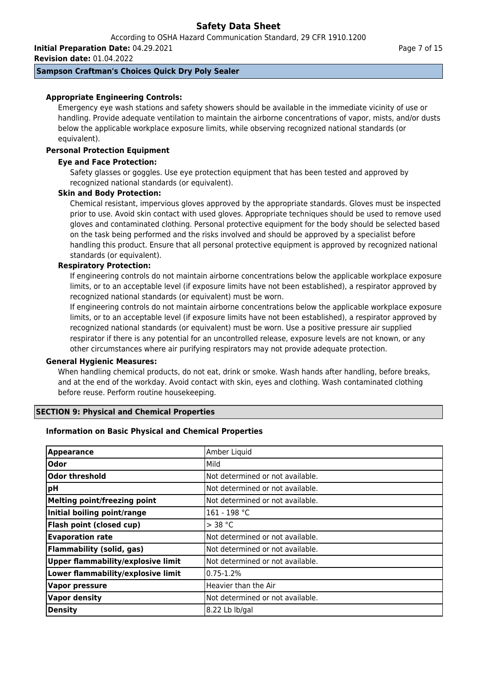According to OSHA Hazard Communication Standard, 29 CFR 1910.1200

**Initial Preparation Date:** 04.29.2021

**Revision date:** 01.04.2022

## **Sampson Craftman's Choices Quick Dry Poly Sealer**

## **Appropriate Engineering Controls:**

Emergency eye wash stations and safety showers should be available in the immediate vicinity of use or handling. Provide adequate ventilation to maintain the airborne concentrations of vapor, mists, and/or dusts below the applicable workplace exposure limits, while observing recognized national standards (or equivalent).

## **Personal Protection Equipment**

## **Eye and Face Protection:**

Safety glasses or goggles. Use eye protection equipment that has been tested and approved by recognized national standards (or equivalent).

#### **Skin and Body Protection:**

Chemical resistant, impervious gloves approved by the appropriate standards. Gloves must be inspected prior to use. Avoid skin contact with used gloves. Appropriate techniques should be used to remove used gloves and contaminated clothing. Personal protective equipment for the body should be selected based on the task being performed and the risks involved and should be approved by a specialist before handling this product. Ensure that all personal protective equipment is approved by recognized national standards (or equivalent).

#### **Respiratory Protection:**

If engineering controls do not maintain airborne concentrations below the applicable workplace exposure limits, or to an acceptable level (if exposure limits have not been established), a respirator approved by recognized national standards (or equivalent) must be worn.

If engineering controls do not maintain airborne concentrations below the applicable workplace exposure limits, or to an acceptable level (if exposure limits have not been established), a respirator approved by recognized national standards (or equivalent) must be worn. Use a positive pressure air supplied respirator if there is any potential for an uncontrolled release, exposure levels are not known, or any other circumstances where air purifying respirators may not provide adequate protection.

#### **General Hygienic Measures:**

When handling chemical products, do not eat, drink or smoke. Wash hands after handling, before breaks, and at the end of the workday. Avoid contact with skin, eyes and clothing. Wash contaminated clothing before reuse. Perform routine housekeeping.

## **SECTION 9: Physical and Chemical Properties**

## **Information on Basic Physical and Chemical Properties**

| <b>Appearance</b>                         | Amber Liquid                      |
|-------------------------------------------|-----------------------------------|
| <b>Odor</b>                               | Mild                              |
| Odor threshold                            | INot determined or not available. |
| ∣pH                                       | INot determined or not available. |
| <b>Melting point/freezing point</b>       | Not determined or not available.  |
| Initial boiling point/range               | 161 - 198 °C                      |
| Flash point (closed cup)                  | $>$ 38 °C                         |
| <b>Evaporation rate</b>                   | Not determined or not available.  |
| <b>Flammability (solid, gas)</b>          | Not determined or not available.  |
| <b>Upper flammability/explosive limit</b> | Not determined or not available.  |
| Lower flammability/explosive limit        | $0.75 - 1.2%$                     |
| <b>Vapor pressure</b>                     | Heavier than the Air              |
| Vapor density                             | INot determined or not available. |
| <b>Density</b>                            | 8.22 Lb lb/gal                    |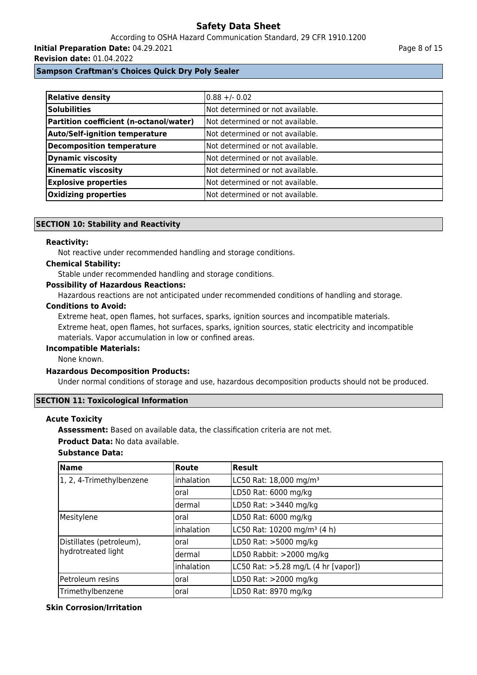According to OSHA Hazard Communication Standard, 29 CFR 1910.1200 **Initial Preparation Date:** 04.29.2021

**Revision date:** 01.04.2022

**Sampson Craftman's Choices Quick Dry Poly Sealer**

| Relative density                        | $0.88 + 0.02$                     |
|-----------------------------------------|-----------------------------------|
| <b>Solubilities</b>                     | INot determined or not available. |
| Partition coefficient (n-octanol/water) | Not determined or not available.  |
| <b>Auto/Self-ignition temperature</b>   | INot determined or not available. |
| Decomposition temperature               | Not determined or not available.  |
| <b>Dynamic viscosity</b>                | Not determined or not available.  |
| Kinematic viscosity                     | INot determined or not available. |
| <b>Explosive properties</b>             | lNot determined or not available. |
| <b>Oxidizing properties</b>             | Not determined or not available.  |

## **SECTION 10: Stability and Reactivity**

#### **Reactivity:**

Not reactive under recommended handling and storage conditions.

#### **Chemical Stability:**

Stable under recommended handling and storage conditions.

## **Possibility of Hazardous Reactions:**

Hazardous reactions are not anticipated under recommended conditions of handling and storage.

#### **Conditions to Avoid:**

Extreme heat, open flames, hot surfaces, sparks, ignition sources and incompatible materials. Extreme heat, open flames, hot surfaces, sparks, ignition sources, static electricity and incompatible materials. Vapor accumulation in low or confined areas.

#### **Incompatible Materials:**

None known.

#### **Hazardous Decomposition Products:**

Under normal conditions of storage and use, hazardous decomposition products should not be produced.

#### **SECTION 11: Toxicological Information**

#### **Acute Toxicity**

**Assessment:** Based on available data, the classification criteria are not met.

**Product Data:** No data available.

## **Substance Data:**

| <b>Name</b>              | Route       | Result                                  |  |
|--------------------------|-------------|-----------------------------------------|--|
| 1, 2, 4-Trimethylbenzene | linhalation | LC50 Rat: 18,000 mg/m <sup>3</sup>      |  |
|                          | oral        | LD50 Rat: 6000 mg/kg                    |  |
|                          | ldermal     | LD50 Rat: > 3440 mg/kg                  |  |
| Mesitylene               | oral        | LD50 Rat: 6000 mg/kg                    |  |
|                          | inhalation  | LC50 Rat: 10200 mg/m <sup>3</sup> (4 h) |  |
| Distillates (petroleum), | oral        | LD50 Rat: >5000 mg/kg                   |  |
| hydrotreated light       | dermal      | LD50 Rabbit: >2000 mg/kg                |  |
|                          | Inhalation  | LC50 Rat: >5.28 mg/L (4 hr [vapor])     |  |
| Petroleum resins         | oral        | LD50 Rat: >2000 mg/kg                   |  |
| Trimethylbenzene         | oral        | LD50 Rat: 8970 mg/kg                    |  |

#### **Skin Corrosion/Irritation**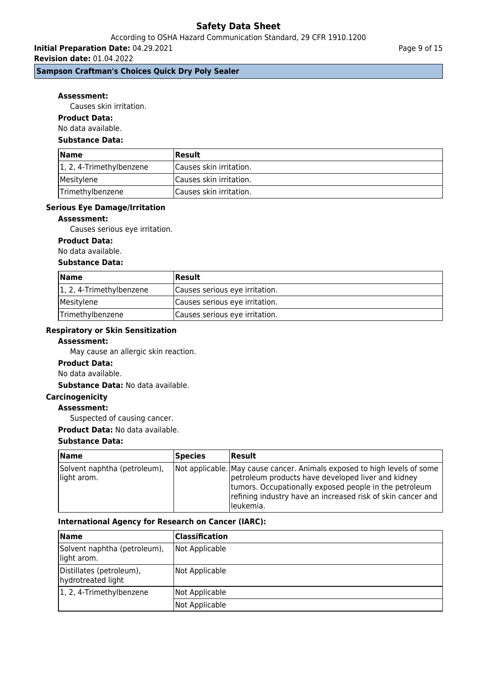## According to OSHA Hazard Communication Standard, 29 CFR 1910.1200

**Initial Preparation Date:** 04.29.2021 **Revision date:** 01.04.2022

## **Sampson Craftman's Choices Quick Dry Poly Sealer**

#### **Assessment:**

Causes skin irritation.

#### **Product Data:**

No data available.

#### **Substance Data:**

| <b>Name</b>                       | <b>Result</b>                   |
|-----------------------------------|---------------------------------|
| $\vert 1, 2, 4$ -Trimethylbenzene | Causes skin irritation.         |
| Mesitylene                        | Causes skin irritation.         |
| Trimethylbenzene                  | <b>ICauses skin irritation.</b> |

#### **Serious Eye Damage/Irritation**

#### **Assessment:**

Causes serious eye irritation.

#### **Product Data:**

No data available.

#### **Substance Data:**

| <b>Name</b>              | <b>Result</b>                  |
|--------------------------|--------------------------------|
| 1, 2, 4-Trimethylbenzene | Causes serious eye irritation. |
| Mesitylene               | Causes serious eye irritation. |
| Trimethylbenzene         | Causes serious eye irritation. |

## **Respiratory or Skin Sensitization**

#### **Assessment:**

May cause an allergic skin reaction.

#### **Product Data:**

No data available.

## **Substance Data:** No data available.

**Carcinogenicity**

#### **Assessment:**

Suspected of causing cancer.

**Product Data:** No data available.

## **Substance Data:**

| <b>Name</b>                                 | Species | Result                                                                                                                                                                                                                                                               |
|---------------------------------------------|---------|----------------------------------------------------------------------------------------------------------------------------------------------------------------------------------------------------------------------------------------------------------------------|
| Solvent naphtha (petroleum),<br>light arom. |         | Not applicable. May cause cancer. Animals exposed to high levels of some<br>petroleum products have developed liver and kidney<br>tumors. Occupationally exposed people in the petroleum<br>refining industry have an increased risk of skin cancer and<br>leukemia. |

### **International Agency for Research on Cancer (IARC):**

| Name                                           | Classification |
|------------------------------------------------|----------------|
| Solvent naphtha (petroleum),<br>light arom.    | Not Applicable |
| Distillates (petroleum),<br>hydrotreated light | Not Applicable |
| 1, 2, 4-Trimethylbenzene                       | Not Applicable |
|                                                | Not Applicable |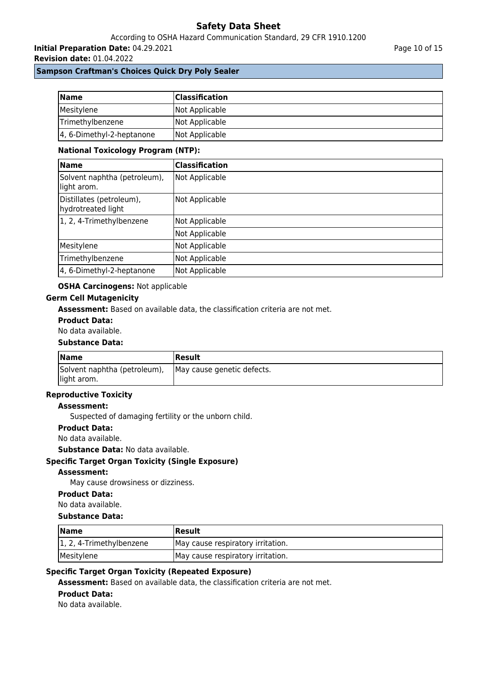## According to OSHA Hazard Communication Standard, 29 CFR 1910.1200

**Initial Preparation Date:** 04.29.2021

**Revision date:** 01.04.2022

## **Sampson Craftman's Choices Quick Dry Poly Sealer**

| <b>Name</b>               | <b>Classification</b> |
|---------------------------|-----------------------|
| Mesitylene                | Not Applicable        |
| Trimethylbenzene          | Not Applicable        |
| 4, 6-Dimethyl-2-heptanone | Not Applicable        |

### **National Toxicology Program (NTP):**

| Name                                           | Classification |
|------------------------------------------------|----------------|
| Solvent naphtha (petroleum),<br>light arom.    | Not Applicable |
| Distillates (petroleum),<br>hydrotreated light | Not Applicable |
| 1, 2, 4-Trimethylbenzene                       | Not Applicable |
|                                                | Not Applicable |
| Mesitylene                                     | Not Applicable |
| Trimethylbenzene                               | Not Applicable |
| 4, 6-Dimethyl-2-heptanone                      | Not Applicable |

## **OSHA Carcinogens:** Not applicable

### **Germ Cell Mutagenicity**

**Assessment:** Based on available data, the classification criteria are not met.

#### **Product Data:**

No data available.

#### **Substance Data:**

| <b>Name</b>                                 | <b>Result</b>              |  |
|---------------------------------------------|----------------------------|--|
| Solvent naphtha (petroleum),<br>light arom. | May cause genetic defects. |  |

## **Reproductive Toxicity**

## **Assessment:**

Suspected of damaging fertility or the unborn child.

#### **Product Data:**

No data available.

### **Substance Data:** No data available.

## **Specific Target Organ Toxicity (Single Exposure)**

#### **Assessment:**

May cause drowsiness or dizziness.

## **Product Data:**

No data available.

## **Substance Data:**

| <b>Name</b>              | <b> Result</b>                    |  |
|--------------------------|-----------------------------------|--|
| 1, 2, 4-Trimethylbenzene | May cause respiratory irritation. |  |
| Mesitylene               | May cause respiratory irritation. |  |

## **Specific Target Organ Toxicity (Repeated Exposure)**

**Assessment:** Based on available data, the classification criteria are not met.

#### **Product Data:**

No data available.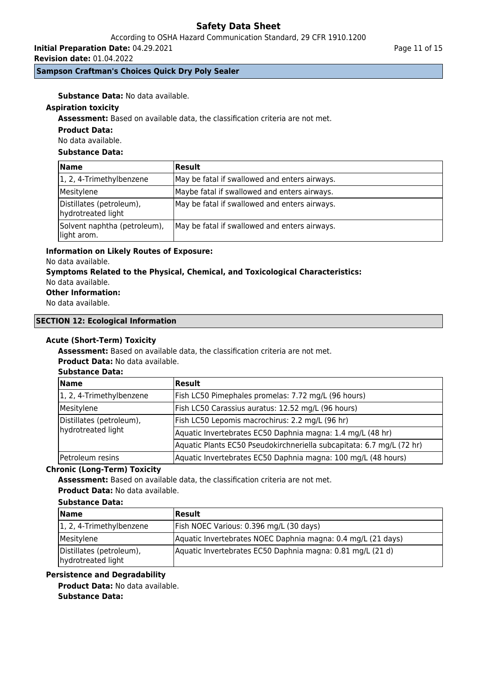## According to OSHA Hazard Communication Standard, 29 CFR 1910.1200

**Initial Preparation Date:** 04.29.2021

**Revision date:** 01.04.2022

## **Sampson Craftman's Choices Quick Dry Poly Sealer**

**Substance Data:** No data available.

## **Aspiration toxicity**

**Assessment:** Based on available data, the classification criteria are not met.

### **Product Data:**

No data available.

## **Substance Data:**

| <b>Name</b>                                    | <b>Result</b>                                 |
|------------------------------------------------|-----------------------------------------------|
| 1, 2, 4-Trimethylbenzene                       | May be fatal if swallowed and enters airways. |
| Mesitylene                                     | Maybe fatal if swallowed and enters airways.  |
| Distillates (petroleum),<br>hydrotreated light | May be fatal if swallowed and enters airways. |
| Solvent naphtha (petroleum),<br>light arom.    | May be fatal if swallowed and enters airways. |

## **Information on Likely Routes of Exposure:**

No data available.

## **Symptoms Related to the Physical, Chemical, and Toxicological Characteristics:**

# No data available.

**Other Information:**

No data available.

## **SECTION 12: Ecological Information**

## **Acute (Short-Term) Toxicity**

**Assessment:** Based on available data, the classification criteria are not met.

**Product Data:** No data available.

## **Substance Data:**

| Name                                           | Result                                                                |  |
|------------------------------------------------|-----------------------------------------------------------------------|--|
| 1, 2, 4-Trimethylbenzene                       | Fish LC50 Pimephales promelas: 7.72 mg/L (96 hours)                   |  |
| Mesitylene                                     | Fish LC50 Carassius auratus: 12.52 mg/L (96 hours)                    |  |
| Distillates (petroleum),<br>hydrotreated light | Fish LC50 Lepomis macrochirus: 2.2 mg/L (96 hr)                       |  |
|                                                | Aquatic Invertebrates EC50 Daphnia magna: 1.4 mg/L (48 hr)            |  |
|                                                | Aquatic Plants EC50 Pseudokirchneriella subcapitata: 6.7 mg/L (72 hr) |  |
| Petroleum resins                               | Aquatic Invertebrates EC50 Daphnia magna: 100 mg/L (48 hours)         |  |

## **Chronic (Long-Term) Toxicity**

**Assessment:** Based on available data, the classification criteria are not met.

**Product Data:** No data available.

## **Substance Data:**

| <b>Name</b>                                    | Result                                                       |
|------------------------------------------------|--------------------------------------------------------------|
| 1, 2, 4-Trimethylbenzene                       | Fish NOEC Various: 0.396 mg/L (30 days)                      |
| Mesitylene                                     | Aquatic Invertebrates NOEC Daphnia magna: 0.4 mg/L (21 days) |
| Distillates (petroleum),<br>hydrotreated light | Aquatic Invertebrates EC50 Daphnia magna: 0.81 mg/L (21 d)   |

## **Persistence and Degradability**

**Product Data:** No data available. **Substance Data:**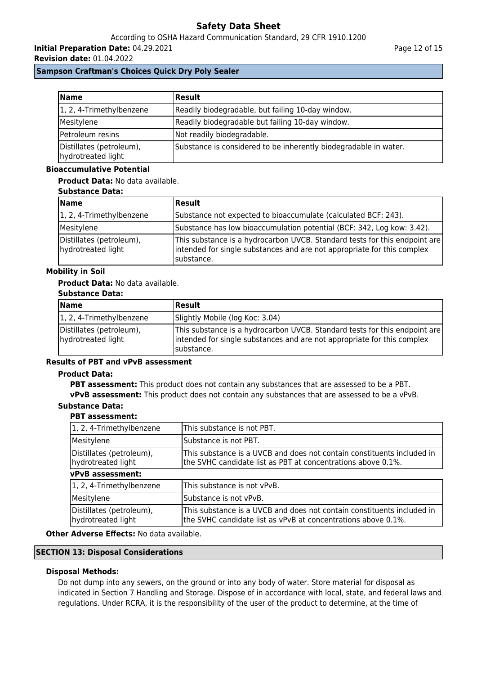## According to OSHA Hazard Communication Standard, 29 CFR 1910.1200

**Initial Preparation Date:** 04.29.2021

**Revision date:** 01.04.2022

## **Sampson Craftman's Choices Quick Dry Poly Sealer**

| <b>Name</b>                                    | Result                                                           |  |
|------------------------------------------------|------------------------------------------------------------------|--|
| 1, 2, 4-Trimethylbenzene                       | Readily biodegradable, but failing 10-day window.                |  |
| Mesitylene                                     | Readily biodegradable but failing 10-day window.                 |  |
| Petroleum resins                               | Not readily biodegradable.                                       |  |
| Distillates (petroleum),<br>hydrotreated light | Substance is considered to be inherently biodegradable in water. |  |

#### **Bioaccumulative Potential**

### **Product Data:** No data available.

#### **Substance Data:**

| <b>Name</b>                                    | Result                                                                                                                                                              |
|------------------------------------------------|---------------------------------------------------------------------------------------------------------------------------------------------------------------------|
| $\vert 1, 2, 4$ -Trimethylbenzene              | Substance not expected to bioaccumulate (calculated BCF: 243).                                                                                                      |
| Mesitylene                                     | Substance has low bioaccumulation potential (BCF: 342, Log kow: 3.42).                                                                                              |
| Distillates (petroleum),<br>hydrotreated light | This substance is a hydrocarbon UVCB. Standard tests for this endpoint are<br>intended for single substances and are not appropriate for this complex<br>substance. |

## **Mobility in Soil**

## **Product Data:** No data available.

## **Substance Data:**

| ----------------                               |                                                                                                                                                                      |
|------------------------------------------------|----------------------------------------------------------------------------------------------------------------------------------------------------------------------|
| Name                                           | <b>Result</b>                                                                                                                                                        |
| 1, 2, 4-Trimethylbenzene                       | Slightly Mobile (log Koc: 3.04)                                                                                                                                      |
| Distillates (petroleum),<br>hydrotreated light | This substance is a hydrocarbon UVCB. Standard tests for this endpoint are<br>intended for single substances and are not appropriate for this complex<br>Isubstance. |

## **Results of PBT and vPvB assessment**

#### **Product Data:**

**PBT assessment:** This product does not contain any substances that are assessed to be a PBT. **vPvB assessment:** This product does not contain any substances that are assessed to be a vPvB.

## **Substance Data:**

## **PBT assessment:**

| 1, 2, 4-Trimethylbenzene                       | This substance is not PBT.                                                                                                              |  |
|------------------------------------------------|-----------------------------------------------------------------------------------------------------------------------------------------|--|
| Mesitylene                                     | Substance is not PBT.                                                                                                                   |  |
| Distillates (petroleum),<br>hydrotreated light | This substance is a UVCB and does not contain constituents included in<br>the SVHC candidate list as PBT at concentrations above 0.1%.  |  |
| vPvB assessment:                               |                                                                                                                                         |  |
| 1, 2, 4-Trimethylbenzene                       | This substance is not vPvB.                                                                                                             |  |
| Mesitylene                                     | Substance is not vPvB.                                                                                                                  |  |
| Distillates (petroleum),<br>hydrotreated light | This substance is a UVCB and does not contain constituents included in<br>the SVHC candidate list as vPvB at concentrations above 0.1%. |  |

## **Other Adverse Effects:** No data available.

## **SECTION 13: Disposal Considerations**

## **Disposal Methods:**

Do not dump into any sewers, on the ground or into any body of water. Store material for disposal as indicated in Section 7 Handling and Storage. Dispose of in accordance with local, state, and federal laws and regulations. Under RCRA, it is the responsibility of the user of the product to determine, at the time of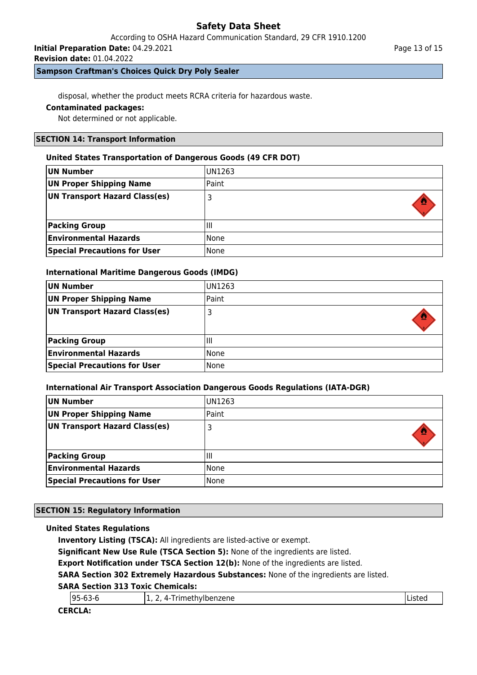According to OSHA Hazard Communication Standard, 29 CFR 1910.1200

**Initial Preparation Date:** 04.29.2021

**Revision date:** 01.04.2022

## **Sampson Craftman's Choices Quick Dry Poly Sealer**

disposal, whether the product meets RCRA criteria for hazardous waste.

## **Contaminated packages:**

Not determined or not applicable.

## **SECTION 14: Transport Information**

## **United States Transportation of Dangerous Goods (49 CFR DOT)**

| UN Number                           | <b>UN1263</b> |
|-------------------------------------|---------------|
| <b>UN Proper Shipping Name</b>      | Paint         |
| UN Transport Hazard Class(es)       |               |
|                                     |               |
| <b>Packing Group</b>                | IШ            |
| <b>Environmental Hazards</b>        | l None        |
| <b>Special Precautions for User</b> | None          |

## **International Maritime Dangerous Goods (IMDG)**

| UN Number                           | UN1263 |
|-------------------------------------|--------|
| UN Proper Shipping Name             | Paint  |
| UN Transport Hazard Class(es)       |        |
|                                     |        |
| <b>Packing Group</b>                | Ш      |
| <b>Environmental Hazards</b>        | l None |
| <b>Special Precautions for User</b> | None   |

## **International Air Transport Association Dangerous Goods Regulations (IATA-DGR)**

| UN Number                           | <b>IUN1263</b> |
|-------------------------------------|----------------|
| <b>UN Proper Shipping Name</b>      | Paint          |
| UN Transport Hazard Class(es)       |                |
| <b>Packing Group</b>                | Ш              |
| <b>Environmental Hazards</b>        | None           |
| <b>Special Precautions for User</b> | l None         |

## **SECTION 15: Regulatory Information**

## **United States Regulations**

**Inventory Listing (TSCA):** All ingredients are listed-active or exempt.

**Significant New Use Rule (TSCA Section 5):** None of the ingredients are listed.

**Export Notification under TSCA Section 12(b):** None of the ingredients are listed.

**SARA Section 302 Extremely Hazardous Substances:** None of the ingredients are listed.

## **SARA Section 313 Toxic Chemicals:**

| $95 - 63$<br>ີ | methylbenzene<br>$. 7.0000 + 0.1000$<br>4-<br>.<br>- | ᆸᇰᄔᄔ |
|----------------|------------------------------------------------------|------|
| CEDCI A.       |                                                      |      |

## **CERCLA:**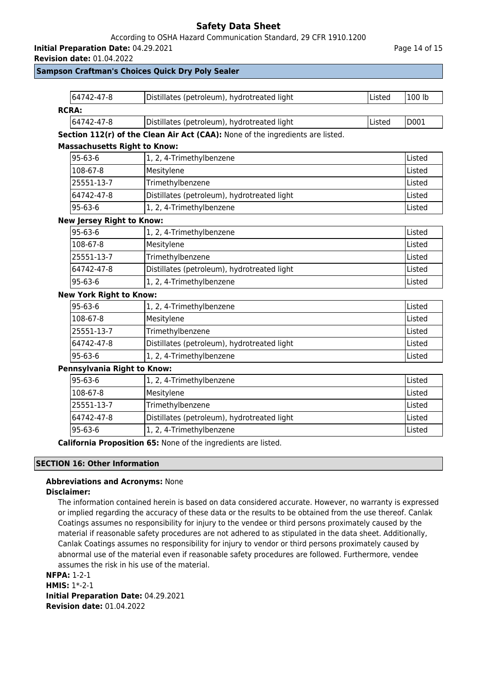## According to OSHA Hazard Communication Standard, 29 CFR 1910.1200

**Initial Preparation Date:** 04.29.2021

**Revision date:** 01.04.2022

## **Sampson Craftman's Choices Quick Dry Poly Sealer**

| 64742-47-8                                                | Distillates (petroleum), hydrotreated light                                    | Listed | 100 lb |
|-----------------------------------------------------------|--------------------------------------------------------------------------------|--------|--------|
| <b>RCRA:</b>                                              |                                                                                |        |        |
| 64742-47-8                                                | Distillates (petroleum), hydrotreated light                                    | Listed | D001   |
|                                                           | Section 112(r) of the Clean Air Act (CAA): None of the ingredients are listed. |        |        |
| <b>Massachusetts Right to Know:</b>                       |                                                                                |        |        |
| 95-63-6                                                   | 1, 2, 4-Trimethylbenzene                                                       |        | Listed |
| 108-67-8                                                  | Mesitylene                                                                     |        | Listed |
| 25551-13-7                                                | Trimethylbenzene                                                               |        |        |
| 64742-47-8                                                | Distillates (petroleum), hydrotreated light                                    |        | Listed |
| 95-63-6                                                   | 1, 2, 4-Trimethylbenzene                                                       |        | Listed |
| <b>New Jersey Right to Know:</b>                          |                                                                                |        |        |
| 95-63-6                                                   | 1, 2, 4-Trimethylbenzene                                                       |        | Listed |
| 108-67-8                                                  | Mesitylene                                                                     |        | Listed |
| 25551-13-7                                                | Trimethylbenzene                                                               |        | Listed |
| 64742-47-8                                                | Distillates (petroleum), hydrotreated light                                    |        | Listed |
| 95-63-6                                                   | 1, 2, 4-Trimethylbenzene                                                       |        | Listed |
| <b>New York Right to Know:</b>                            |                                                                                |        |        |
| $95 - 63 - 6$                                             | 1, 2, 4-Trimethylbenzene                                                       |        | Listed |
| 108-67-8                                                  | Mesitylene                                                                     |        | Listed |
| 25551-13-7                                                | Trimethylbenzene                                                               |        | Listed |
| 64742-47-8<br>Distillates (petroleum), hydrotreated light |                                                                                | Listed |        |
| $95 - 63 - 6$                                             | 1, 2, 4-Trimethylbenzene                                                       |        | Listed |
| Pennsylvania Right to Know:                               |                                                                                |        |        |
| 95-63-6                                                   | 1, 2, 4-Trimethylbenzene                                                       |        | Listed |
| 108-67-8                                                  | Mesitylene                                                                     |        | Listed |
| 25551-13-7                                                | Trimethylbenzene                                                               |        | Listed |
| 64742-47-8                                                | Distillates (petroleum), hydrotreated light                                    |        | Listed |
| 95-63-6                                                   | 1, 2, 4-Trimethylbenzene                                                       |        | Listed |
|                                                           | California Proposition 65: None of the ingredients are listed.                 |        |        |

#### **SECTION 16: Other Information**

# **Abbreviations and Acronyms:** None

## **Disclaimer:**

The information contained herein is based on data considered accurate. However, no warranty is expressed or implied regarding the accuracy of these data or the results to be obtained from the use thereof. Canlak Coatings assumes no responsibility for injury to the vendee or third persons proximately caused by the material if reasonable safety procedures are not adhered to as stipulated in the data sheet. Additionally, Canlak Coatings assumes no responsibility for injury to vendor or third persons proximately caused by abnormal use of the material even if reasonable safety procedures are followed. Furthermore, vendee assumes the risk in his use of the material.

**NFPA:** 1-2-1

**HMIS:** 1\*-2-1 **Initial Preparation Date:** 04.29.2021 **Revision date:** 01.04.2022